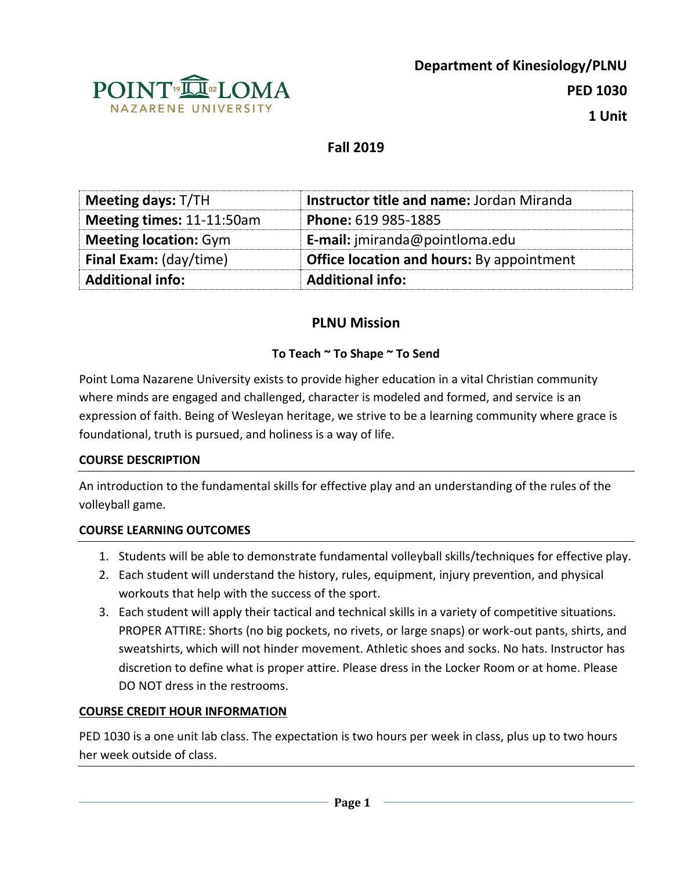

# **Fall 2019**

| <b>Meeting days: T/TH</b>    | <b>Instructor title and name: Jordan Miranda</b> |
|------------------------------|--------------------------------------------------|
| Meeting times: 11-11:50am    | Phone: 619 985-1885                              |
| <b>Meeting location: Gym</b> | E-mail: jmiranda@pointloma.edu                   |
| Final Exam: (day/time)       | <b>Office location and hours:</b> By appointment |
| <b>Additional info:</b>      | <b>Additional info:</b>                          |

# **PLNU Mission**

# **To Teach ~ To Shape ~ To Send**

Point Loma Nazarene University exists to provide higher education in a vital Christian community where minds are engaged and challenged, character is modeled and formed, and service is an expression of faith. Being of Wesleyan heritage, we strive to be a learning community where grace is foundational, truth is pursued, and holiness is a way of life.

# **COURSE DESCRIPTION**

An introduction to the fundamental skills for effective play and an understanding of the rules of the volleyball game.

# **COURSE LEARNING OUTCOMES**

- 1. Students will be able to demonstrate fundamental volleyball skills/techniques for effective play.
- 2. Each student will understand the history, rules, equipment, injury prevention, and physical workouts that help with the success of the sport.
- 3. Each student will apply their tactical and technical skills in a variety of competitive situations. PROPER ATTIRE: Shorts (no big pockets, no rivets, or large snaps) or work-out pants, shirts, and sweatshirts, which will not hinder movement. Athletic shoes and socks. No hats. Instructor has discretion to define what is proper attire. Please dress in the Locker Room or at home. Please DO NOT dress in the restrooms.

# **COURSE CREDIT HOUR INFORMATION**

PED 1030 is a one unit lab class. The expectation is two hours per week in class, plus up to two hours her week outside of class.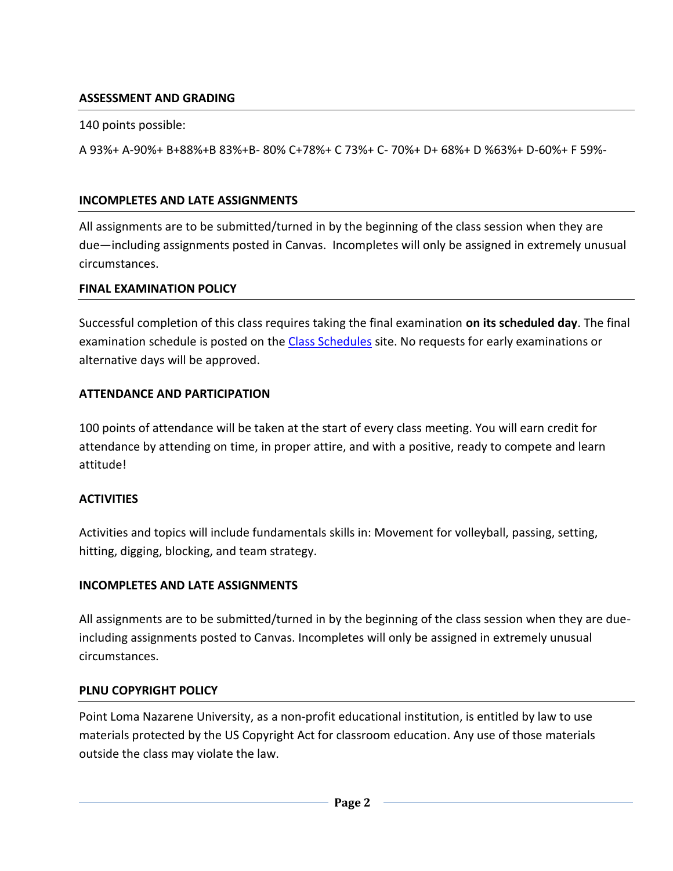# **ASSESSMENT AND GRADING**

140 points possible:

A 93%+ A-90%+ B+88%+B 83%+B- 80% C+78%+ C 73%+ C- 70%+ D+ 68%+ D %63%+ D-60%+ F 59%-

# **INCOMPLETES AND LATE ASSIGNMENTS**

All assignments are to be submitted/turned in by the beginning of the class session when they are due—including assignments posted in Canvas. Incompletes will only be assigned in extremely unusual circumstances.

#### **FINAL EXAMINATION POLICY**

Successful completion of this class requires taking the final examination **on its scheduled day**. The final examination schedule is posted on the [Class Schedules](http://www.pointloma.edu/experience/academics/class-schedules) site. No requests for early examinations or alternative days will be approved.

# **ATTENDANCE AND PARTICIPATION**

100 points of attendance will be taken at the start of every class meeting. You will earn credit for attendance by attending on time, in proper attire, and with a positive, ready to compete and learn attitude!

# **ACTIVITIES**

Activities and topics will include fundamentals skills in: Movement for volleyball, passing, setting, hitting, digging, blocking, and team strategy.

# **INCOMPLETES AND LATE ASSIGNMENTS**

All assignments are to be submitted/turned in by the beginning of the class session when they are dueincluding assignments posted to Canvas. Incompletes will only be assigned in extremely unusual circumstances.

# **PLNU COPYRIGHT POLICY**

Point Loma Nazarene University, as a non-profit educational institution, is entitled by law to use materials protected by the US Copyright Act for classroom education. Any use of those materials outside the class may violate the law.